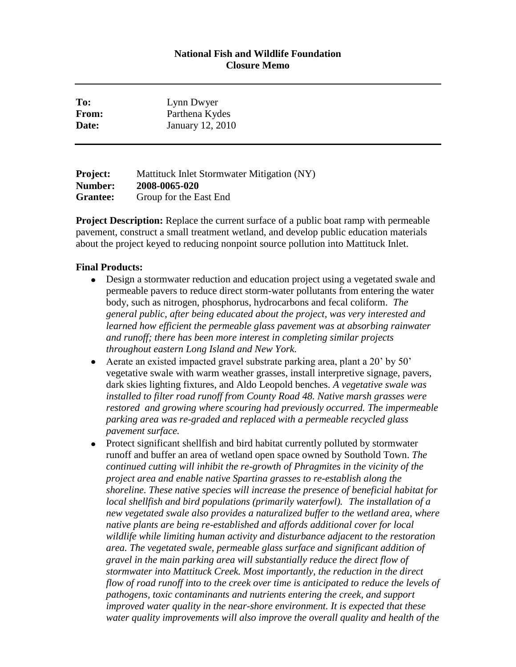## **National Fish and Wildlife Foundation Closure Memo**

| To:   | Lynn Dwyer       |
|-------|------------------|
| From: | Parthena Kydes   |
| Date: | January 12, 2010 |
|       |                  |

**Project:** Mattituck Inlet Stormwater Mitigation (NY) **Number: 2008-0065-020 Grantee:** Group for the East End

**Project Description:** Replace the current surface of a public boat ramp with permeable pavement, construct a small treatment wetland, and develop public education materials about the project keyed to reducing nonpoint source pollution into Mattituck Inlet.

## **Final Products:**

- Design a stormwater reduction and education project using a vegetated swale and permeable pavers to reduce direct storm-water pollutants from entering the water body, such as nitrogen, phosphorus, hydrocarbons and fecal coliform. *The general public, after being educated about the project, was very interested and learned how efficient the permeable glass pavement was at absorbing rainwater and runoff; there has been more interest in completing similar projects throughout eastern Long Island and New York.*
- Aerate an existed impacted gravel substrate parking area, plant a 20' by 50' vegetative swale with warm weather grasses, install interpretive signage, pavers, dark skies lighting fixtures, and Aldo Leopold benches. *A vegetative swale was installed to filter road runoff from County Road 48. Native marsh grasses were restored and growing where scouring had previously occurred. The impermeable parking area was re-graded and replaced with a permeable recycled glass pavement surface.*
- Protect significant shellfish and bird habitat currently polluted by stormwater runoff and buffer an area of wetland open space owned by Southold Town. *The continued cutting will inhibit the re-growth of Phragmites in the vicinity of the project area and enable native Spartina grasses to re-establish along the shoreline. These native species will increase the presence of beneficial habitat for local shellfish and bird populations (primarily waterfowl). The installation of a new vegetated swale also provides a naturalized buffer to the wetland area, where native plants are being re-established and affords additional cover for local wildlife while limiting human activity and disturbance adjacent to the restoration area. The vegetated swale, permeable glass surface and significant addition of gravel in the main parking area will substantially reduce the direct flow of stormwater into Mattituck Creek. Most importantly, the reduction in the direct flow of road runoff into to the creek over time is anticipated to reduce the levels of pathogens, toxic contaminants and nutrients entering the creek, and support improved water quality in the near-shore environment. It is expected that these water quality improvements will also improve the overall quality and health of the*